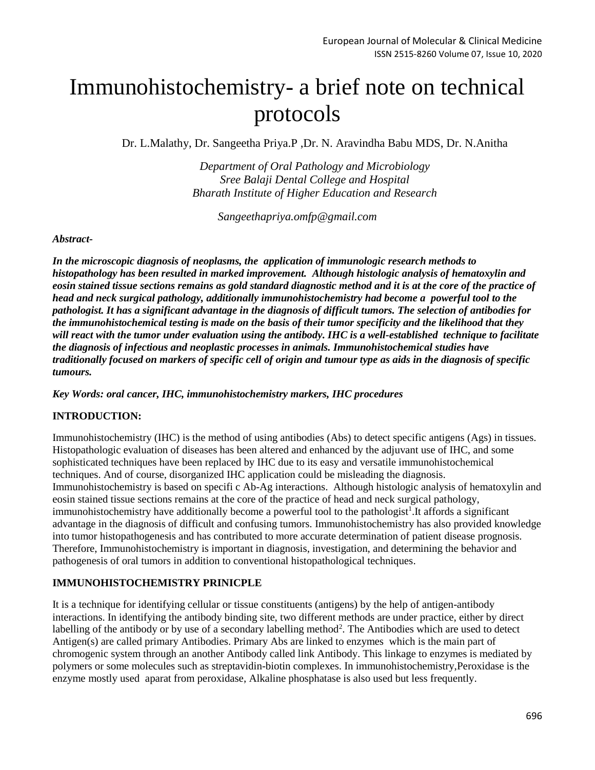# Immunohistochemistry- a brief note on technical protocols

Dr. L.Malathy, Dr. Sangeetha Priya.P ,Dr. N. Aravindha Babu MDS, Dr. N.Anitha

*Department of Oral Pathology and Microbiology Sree Balaji Dental College and Hospital Bharath Institute of Higher Education and Research*

*Sangeethapriya.omfp@gmail.com*

#### *Abstract-*

*In the microscopic diagnosis of neoplasms, the application of immunologic research methods to histopathology has been resulted in marked improvement. Although histologic analysis of hematoxylin and eosin stained tissue sections remains as gold standard diagnostic method and it is at the core of the practice of head and neck surgical pathology, additionally immunohistochemistry had become a powerful tool to the pathologist. It has a significant advantage in the diagnosis of difficult tumors. The selection of antibodies for the immunohistochemical testing is made on the basis of their tumor specificity and the likelihood that they will react with the tumor under evaluation using the antibody. IHC is a well-established technique to facilitate the diagnosis of infectious and neoplastic processes in animals. Immunohistochemical studies have traditionally focused on markers of specific cell of origin and tumour type as aids in the diagnosis of specific tumours.*

*Key Words: oral cancer, IHC, immunohistochemistry markers, IHC procedures*

#### **INTRODUCTION:**

Immunohistochemistry (IHC) is the method of using antibodies (Abs) to detect specific antigens (Ags) in tissues. Histopathologic evaluation of diseases has been altered and enhanced by the adjuvant use of IHC, and some sophisticated techniques have been replaced by IHC due to its easy and versatile immunohistochemical techniques. And of course, disorganized IHC application could be misleading the diagnosis. Immunohistochemistry is based on specifi c Ab-Ag interactions. Although histologic analysis of hematoxylin and eosin stained tissue sections remains at the core of the practice of head and neck surgical pathology, immunohistochemistry have additionally become a powerful tool to the pathologist<sup>1</sup>. It affords a significant advantage in the diagnosis of difficult and confusing tumors. Immunohistochemistry has also provided knowledge into tumor histopathogenesis and has contributed to more accurate determination of patient disease prognosis. Therefore, Immunohistochemistry is important in diagnosis, investigation, and determining the behavior and pathogenesis of oral tumors in addition to conventional histopathological techniques.

#### **IMMUNOHISTOCHEMISTRY PRINICPLE**

It is a technique for identifying cellular or tissue constituents (antigens) by the help of antigen-antibody interactions. In identifying the antibody binding site, two different methods are under practice, either by direct labelling of the antibody or by use of a secondary labelling method<sup>2</sup>. The Antibodies which are used to detect Antigen(s) are called primary Antibodies. Primary Abs are linked to enzymes which is the main part of chromogenic system through an another Antibody called link Antibody. This linkage to enzymes is mediated by polymers or some molecules such as streptavidin-biotin complexes. In immunohistochemistry,Peroxidase is the enzyme mostly used aparat from peroxidase, Alkaline phosphatase is also used but less frequently.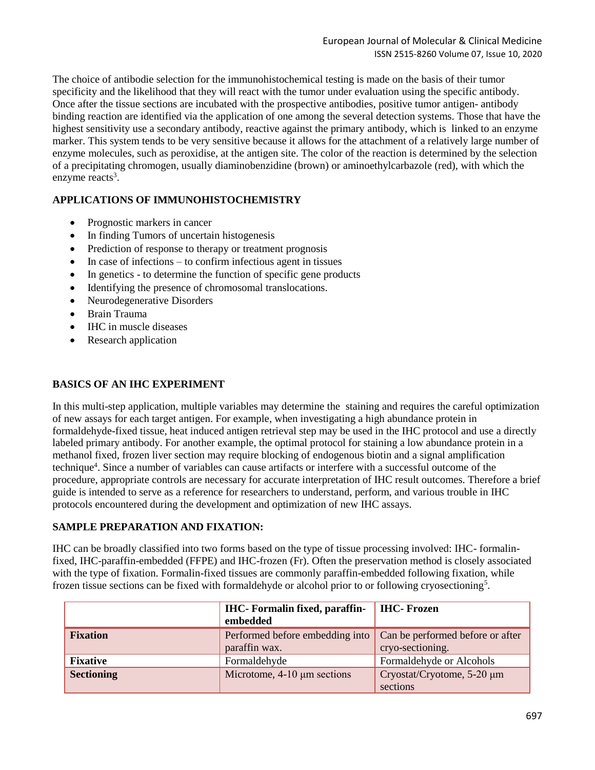The choice of antibodie selection for the immunohistochemical testing is made on the basis of their tumor specificity and the likelihood that they will react with the tumor under evaluation using the specific antibody. Once after the tissue sections are incubated with the prospective antibodies, positive tumor antigen- antibody binding reaction are identified via the application of one among the several detection systems. Those that have the highest sensitivity use a secondary antibody, reactive against the primary antibody, which is linked to an enzyme marker. This system tends to be very sensitive because it allows for the attachment of a relatively large number of enzyme molecules, such as peroxidise, at the antigen site. The color of the reaction is determined by the selection of a precipitating chromogen, usually diaminobenzidine (brown) or aminoethylcarbazole (red), with which the enzyme reacts<sup>3</sup>.

## **APPLICATIONS OF IMMUNOHISTOCHEMISTRY**

- Prognostic markers in cancer
- In finding Tumors of uncertain histogenesis
- Prediction of response to therapy or treatment prognosis
- In case of infections to confirm infectious agent in tissues
- In genetics to determine the function of specific gene products
- Identifying the presence of chromosomal translocations.
- Neurodegenerative Disorders
- Brain Trauma
- IHC in muscle diseases
- Research application

## **BASICS OF AN IHC EXPERIMENT**

In this multi-step application, multiple variables may determine the staining and requires the careful optimization of new assays for each target antigen. For example, when investigating a high abundance protein in formaldehyde-fixed tissue, heat induced antigen retrieval step may be used in the IHC protocol and use a directly labeled primary antibody. For another example, the optimal protocol for staining a low abundance protein in a methanol fixed, frozen liver section may require blocking of endogenous biotin and a signal amplification technique<sup>4</sup>. Since a number of variables can cause artifacts or interfere with a successful outcome of the procedure, appropriate controls are necessary for accurate interpretation of IHC result outcomes. Therefore a brief guide is intended to serve as a reference for researchers to understand, perform, and various trouble in IHC protocols encountered during the development and optimization of new IHC assays.

#### **SAMPLE PREPARATION AND FIXATION:**

IHC can be broadly classified into two forms based on the type of tissue processing involved: IHC- formalinfixed, IHC-paraffin-embedded (FFPE) and IHC-frozen (Fr). Often the preservation method is closely associated with the type of fixation. Formalin-fixed tissues are commonly paraffin-embedded following fixation, while frozen tissue sections can be fixed with formaldehyde or alcohol prior to or following cryosectioning<sup>5</sup>.

|                   | <b>IHC</b> -Formalin fixed, paraffin-<br>embedded | <b>IHC-Frozen</b>                                    |
|-------------------|---------------------------------------------------|------------------------------------------------------|
| <b>Fixation</b>   | Performed before embedding into<br>paraffin wax.  | Can be performed before or after<br>cryo-sectioning. |
| <b>Fixative</b>   | Formaldehyde                                      | Formaldehyde or Alcohols                             |
| <b>Sectioning</b> | Microtome, $4-10 \mu m$ sections                  | Cryostat/Cryotome, 5-20 µm<br>sections               |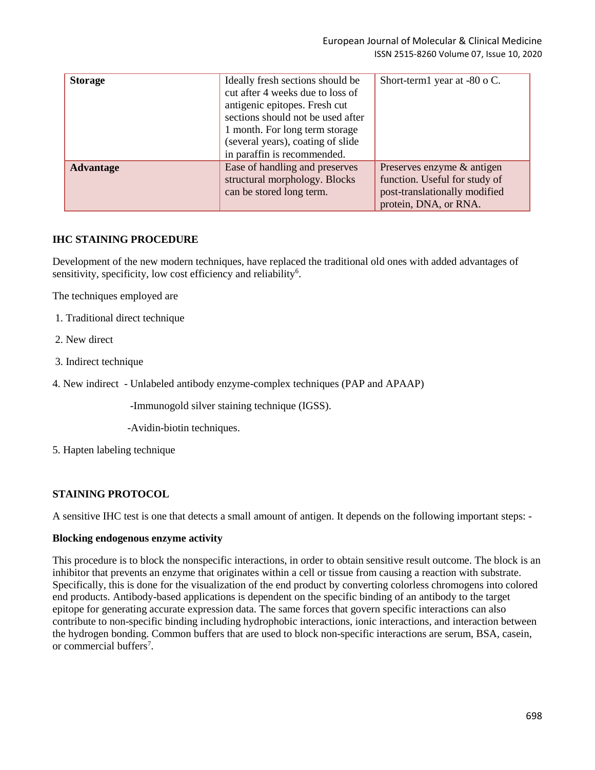| <b>Storage</b>   | Ideally fresh sections should be<br>cut after 4 weeks due to loss of<br>antigenic epitopes. Fresh cut<br>sections should not be used after<br>1 month. For long term storage<br>(several years), coating of slide<br>in paraffin is recommended. | Short-term1 year at -80 o C.                                                                                          |
|------------------|--------------------------------------------------------------------------------------------------------------------------------------------------------------------------------------------------------------------------------------------------|-----------------------------------------------------------------------------------------------------------------------|
| <b>Advantage</b> | Ease of handling and preserves<br>structural morphology. Blocks<br>can be stored long term.                                                                                                                                                      | Preserves enzyme & antigen<br>function. Useful for study of<br>post-translationally modified<br>protein, DNA, or RNA. |

### **IHC STAINING PROCEDURE**

Development of the new modern techniques, have replaced the traditional old ones with added advantages of sensitivity, specificity, low cost efficiency and reliability<sup>6</sup>.

The techniques employed are

- 1. Traditional direct technique
- 2. New direct
- 3. Indirect technique
- 4. New indirect Unlabeled antibody enzyme-complex techniques (PAP and APAAP)

-Immunogold silver staining technique (IGSS).

- -Avidin-biotin techniques.
- 5. Hapten labeling technique

#### **STAINING PROTOCOL**

A sensitive IHC test is one that detects a small amount of antigen. It depends on the following important steps: -

#### **Blocking endogenous enzyme activity**

This procedure is to block the nonspecific interactions, in order to obtain sensitive result outcome. The block is an inhibitor that prevents an enzyme that originates within a cell or tissue from causing a reaction with substrate. Specifically, this is done for the visualization of the end product by converting colorless chromogens into colored end products. Antibody-based applications is dependent on the specific binding of an antibody to the target epitope for generating accurate expression data. The same forces that govern specific interactions can also contribute to non-specific binding including hydrophobic interactions, ionic interactions, and interaction between the hydrogen bonding. Common buffers that are used to block non-specific interactions are serum, BSA, casein, or commercial buffers<sup>7</sup>.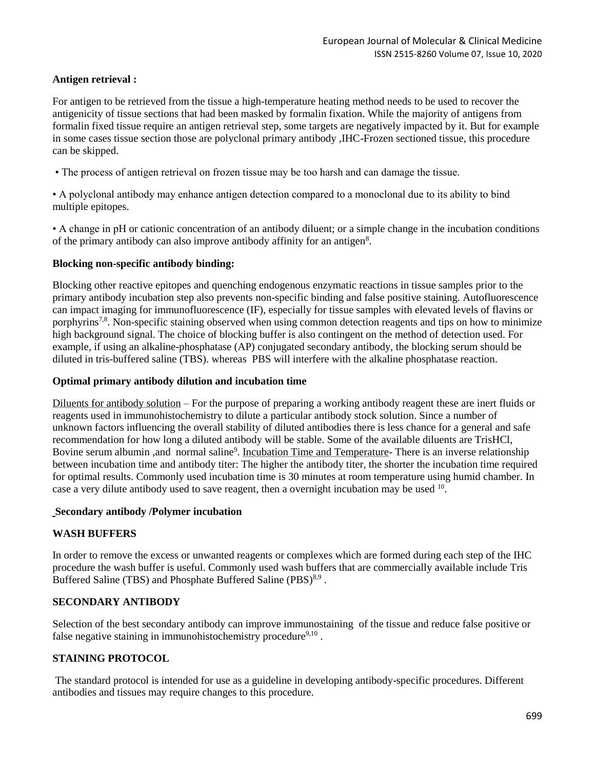## **Antigen retrieval :**

For antigen to be retrieved from the tissue a high-temperature heating method needs to be used to recover the antigenicity of tissue sections that had been masked by formalin fixation. While the majority of antigens from formalin fixed tissue require an antigen retrieval step, some targets are negatively impacted by it. But for example in some cases tissue section those are polyclonal primary antibody ,IHC-Frozen sectioned tissue, this procedure can be skipped.

• The process of antigen retrieval on frozen tissue may be too harsh and can damage the tissue.

• A polyclonal antibody may enhance antigen detection compared to a monoclonal due to its ability to bind multiple epitopes.

• A change in pH or cationic concentration of an antibody diluent; or a simple change in the incubation conditions of the primary antibody can also improve antibody affinity for an antigen<sup>8</sup>.

#### **Blocking non-specific antibody binding:**

Blocking other reactive epitopes and quenching endogenous enzymatic reactions in tissue samples prior to the primary antibody incubation step also prevents non-specific binding and false positive staining. Autofluorescence can impact imaging for immunofluorescence (IF), especially for tissue samples with elevated levels of flavins or porphyrins<sup>7,8</sup>. Non-specific staining observed when using common detection reagents and tips on how to minimize high background signal. The choice of blocking buffer is also contingent on the method of detection used. For example, if using an alkaline-phosphatase (AP) conjugated secondary antibody, the blocking serum should be diluted in tris-buffered saline (TBS). whereas PBS will interfere with the alkaline phosphatase reaction.

#### **Optimal primary antibody dilution and incubation time**

Diluents for antibody solution – For the purpose of preparing a working antibody reagent these are inert fluids or reagents used in immunohistochemistry to dilute a particular antibody stock solution. Since a number of unknown factors influencing the overall stability of diluted antibodies there is less chance for a general and safe recommendation for how long a diluted antibody will be stable. Some of the available diluents are TrisHCl, Bovine serum albumin, and normal saline<sup>9</sup>. Incubation Time and Temperature- There is an inverse relationship between incubation time and antibody titer: The higher the antibody titer, the shorter the incubation time required for optimal results. Commonly used incubation time is 30 minutes at room temperature using humid chamber. In case a very dilute antibody used to save reagent, then a overnight incubation may be used  $10$ .

#### **Secondary antibody /Polymer incubation**

#### **WASH BUFFERS**

In order to remove the excess or unwanted reagents or complexes which are formed during each step of the IHC procedure the wash buffer is useful. Commonly used wash buffers that are commercially available include Tris Buffered Saline (TBS) and Phosphate Buffered Saline (PBS)<sup>8,9</sup>.

## **SECONDARY ANTIBODY**

Selection of the best secondary antibody can improve immunostaining of the tissue and reduce false positive or false negative staining in immunohistochemistry procedure<sup>9,10</sup>.

#### **STAINING PROTOCOL**

The standard protocol is intended for use as a guideline in developing antibody-specific procedures. Different antibodies and tissues may require changes to this procedure.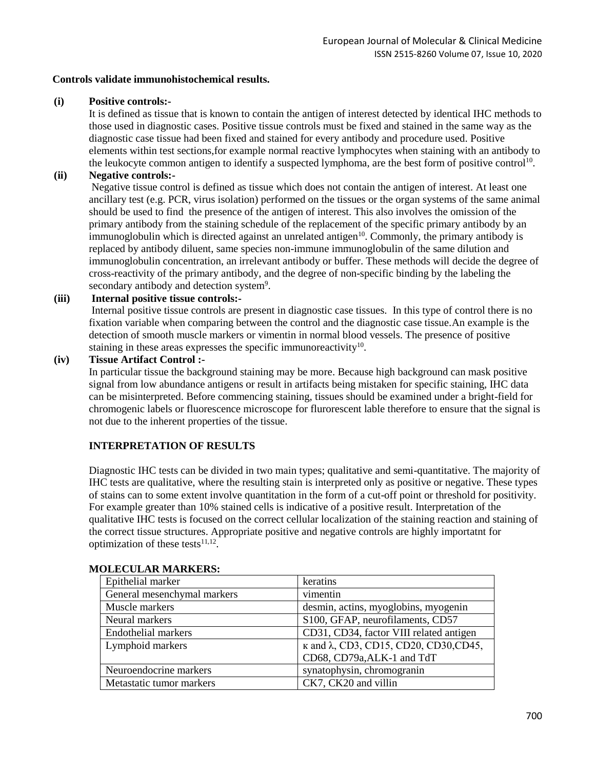#### **Controls validate immunohistochemical results.**

#### **(i) Positive controls:-**

It is defined as tissue that is known to contain the antigen of interest detected by identical IHC methods to those used in diagnostic cases. Positive tissue controls must be fixed and stained in the same way as the diagnostic case tissue had been fixed and stained for every antibody and procedure used. Positive elements within test sections,for example normal reactive lymphocytes when staining with an antibody to the leukocyte common antigen to identify a suspected lymphoma, are the best form of positive control<sup>10</sup>.

#### **(ii) Negative controls:-**

Negative tissue control is defined as tissue which does not contain the antigen of interest. At least one ancillary test (e.g. PCR, virus isolation) performed on the tissues or the organ systems of the same animal should be used to find the presence of the antigen of interest. This also involves the omission of the primary antibody from the staining schedule of the replacement of the specific primary antibody by an immunoglobulin which is directed against an unrelated antigen<sup>10</sup>. Commonly, the primary antibody is replaced by antibody diluent, same species non-immune immunoglobulin of the same dilution and immunoglobulin concentration, an irrelevant antibody or buffer. These methods will decide the degree of cross-reactivity of the primary antibody, and the degree of non-specific binding by the labeling the secondary antibody and detection system<sup>9</sup>.

## **(iii) Internal positive tissue controls:-**

Internal positive tissue controls are present in diagnostic case tissues. In this type of control there is no fixation variable when comparing between the control and the diagnostic case tissue.An example is the detection of smooth muscle markers or vimentin in normal blood vessels. The presence of positive staining in these areas expresses the specific immunoreactivity<sup>10</sup>.

#### **(iv) Tissue Artifact Control :-**

In particular tissue the background staining may be more. Because high background can mask positive signal from low abundance antigens or result in artifacts being mistaken for specific staining, IHC data can be misinterpreted. Before commencing staining, tissues should be examined under a bright-field for chromogenic labels or fluorescence microscope for flurorescent lable therefore to ensure that the signal is not due to the inherent properties of the tissue.

## **INTERPRETATION OF RESULTS**

Diagnostic IHC tests can be divided in two main types; qualitative and semi-quantitative. The majority of IHC tests are qualitative, where the resulting stain is interpreted only as positive or negative. These types of stains can to some extent involve quantitation in the form of a cut-off point or threshold for positivity. For example greater than 10% stained cells is indicative of a positive result. Interpretation of the qualitative IHC tests is focused on the correct cellular localization of the staining reaction and staining of the correct tissue structures. Appropriate positive and negative controls are highly importatnt for optimization of these tests $11,12$ .

| Epithelial marker           | keratins                                              |
|-----------------------------|-------------------------------------------------------|
| General mesenchymal markers | vimentin                                              |
| Muscle markers              | desmin, actins, myoglobins, myogenin                  |
| Neural markers              | S100, GFAP, neurofilaments, CD57                      |
| Endothelial markers         | CD31, CD34, factor VIII related antigen               |
| Lymphoid markers            | $\kappa$ and $\lambda$ , CD3, CD15, CD20, CD30, CD45, |
|                             | CD68, CD79a, ALK-1 and TdT                            |
| Neuroendocrine markers      | synatophysin, chromogranin                            |
| Metastatic tumor markers    | CK7, CK20 and villin                                  |

#### **MOLECULAR MARKERS:**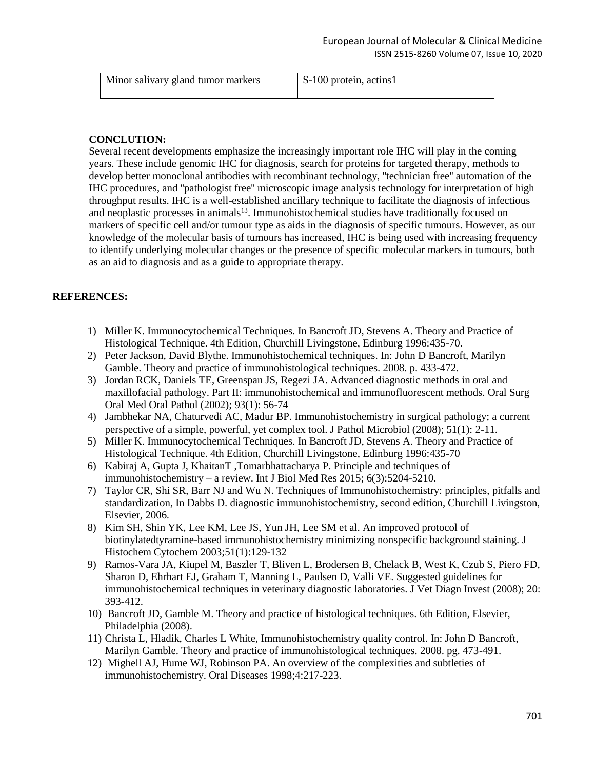| Minor salivary gland tumor markers | S-100 protein, actins1 |
|------------------------------------|------------------------|
|                                    |                        |

#### **CONCLUTION:**

Several recent developments emphasize the increasingly important role IHC will play in the coming years. These include genomic IHC for diagnosis, search for proteins for targeted therapy, methods to develop better monoclonal antibodies with recombinant technology, ''technician free'' automation of the IHC procedures, and ''pathologist free'' microscopic image analysis technology for interpretation of high throughput results. IHC is a well-established ancillary technique to facilitate the diagnosis of infectious and neoplastic processes in animals<sup>13</sup>. Immunohistochemical studies have traditionally focused on markers of specific cell and/or tumour type as aids in the diagnosis of specific tumours. However, as our knowledge of the molecular basis of tumours has increased, IHC is being used with increasing frequency to identify underlying molecular changes or the presence of specific molecular markers in tumours, both as an aid to diagnosis and as a guide to appropriate therapy.

### **REFERENCES:**

- 1) Miller K. Immunocytochemical Techniques. In Bancroft JD, Stevens A. Theory and Practice of Histological Technique. 4th Edition, Churchill Livingstone, Edinburg 1996:435-70.
- 2) Peter Jackson, David Blythe. Immunohistochemical techniques. In: John D Bancroft, Marilyn Gamble. Theory and practice of immunohistological techniques. 2008. p. 433-472.
- 3) Jordan RCK, Daniels TE, Greenspan JS, Regezi JA. Advanced diagnostic methods in oral and maxillofacial pathology. Part II: immunohistochemical and immunofluorescent methods. Oral Surg Oral Med Oral Pathol (2002); 93(1): 56-74
- 4) Jambhekar NA, Chaturvedi AC, Madur BP. Immunohistochemistry in surgical pathology; a current perspective of a simple, powerful, yet complex tool. J Pathol Microbiol (2008); 51(1): 2-11.
- 5) Miller K. Immunocytochemical Techniques. In Bancroft JD, Stevens A. Theory and Practice of Histological Technique. 4th Edition, Churchill Livingstone, Edinburg 1996:435-70
- 6) Kabiraj A, Gupta J, KhaitanT ,Tomarbhattacharya P. Principle and techniques of immunohistochemistry – a review. Int J Biol Med Res 2015; 6(3):5204-5210.
- 7) Taylor CR, Shi SR, Barr NJ and Wu N. Techniques of Immunohistochemistry: principles, pitfalls and standardization, In Dabbs D. diagnostic immunohistochemistry, second edition, Churchill Livingston, Elsevier, 2006.
- 8) Kim SH, Shin YK, Lee KM, Lee JS, Yun JH, Lee SM et al. An improved protocol of biotinylatedtyramine-based immunohistochemistry minimizing nonspecific background staining. J Histochem Cytochem 2003;51(1):129-132
- 9) Ramos-Vara JA, Kiupel M, Baszler T, Bliven L, Brodersen B, Chelack B, West K, Czub S, Piero FD, Sharon D, Ehrhart EJ, Graham T, Manning L, Paulsen D, Valli VE. Suggested guidelines for immunohistochemical techniques in veterinary diagnostic laboratories. J Vet Diagn Invest (2008); 20: 393-412.
- 10) Bancroft JD, Gamble M. Theory and practice of histological techniques. 6th Edition, Elsevier, Philadelphia (2008).
- 11) Christa L, Hladik, Charles L White, Immunohistochemistry quality control. In: John D Bancroft, Marilyn Gamble. Theory and practice of immunohistological techniques. 2008. pg. 473-491.
- 12) Mighell AJ, Hume WJ, Robinson PA. An overview of the complexities and subtleties of immunohistochemistry. Oral Diseases 1998;4:217-223.